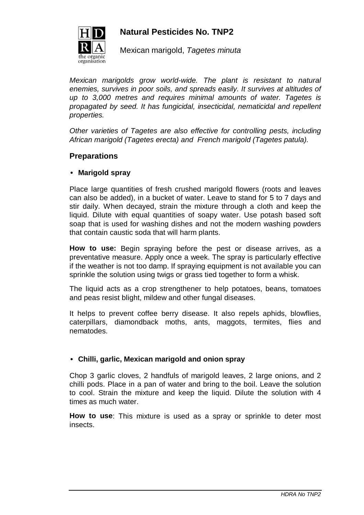

# **Natural Pesticides No. TNP2**

Mexican marigold, Tagetes minuta

Mexican marigolds grow world-wide. The plant is resistant to natural enemies, survives in poor soils, and spreads easily. It survives at altitudes of up to 3,000 metres and requires minimal amounts of water. Tagetes is propagated by seed. It has fungicidal, insecticidal, nematicidal and repellent properties.

Other varieties of Tagetes are also effective for controlling pests, including African marigold (Tagetes erecta) and French marigold (Tagetes patula).

## **Preparations**

#### • **Marigold spray**

Place large quantities of fresh crushed marigold flowers (roots and leaves can also be added), in a bucket of water. Leave to stand for 5 to 7 days and stir daily. When decayed, strain the mixture through a cloth and keep the liquid. Dilute with equal quantities of soapy water. Use potash based soft soap that is used for washing dishes and not the modern washing powders that contain caustic soda that will harm plants.

**How to use:** Begin spraying before the pest or disease arrives, as a preventative measure. Apply once a week. The spray is particularly effective if the weather is not too damp. If spraying equipment is not available you can sprinkle the solution using twigs or grass tied together to form a whisk.

The liquid acts as a crop strengthener to help potatoes, beans, tomatoes and peas resist blight, mildew and other fungal diseases.

It helps to prevent coffee berry disease. It also repels aphids, blowflies, caterpillars, diamondback moths, ants, maggots, termites, flies and nematodes.

## • **Chilli, garlic, Mexican marigold and onion spray**

Chop 3 garlic cloves, 2 handfuls of marigold leaves, 2 large onions, and 2 chilli pods. Place in a pan of water and bring to the boil. Leave the solution to cool. Strain the mixture and keep the liquid. Dilute the solution with 4 times as much water.

**How to use**: This mixture is used as a spray or sprinkle to deter most insects.